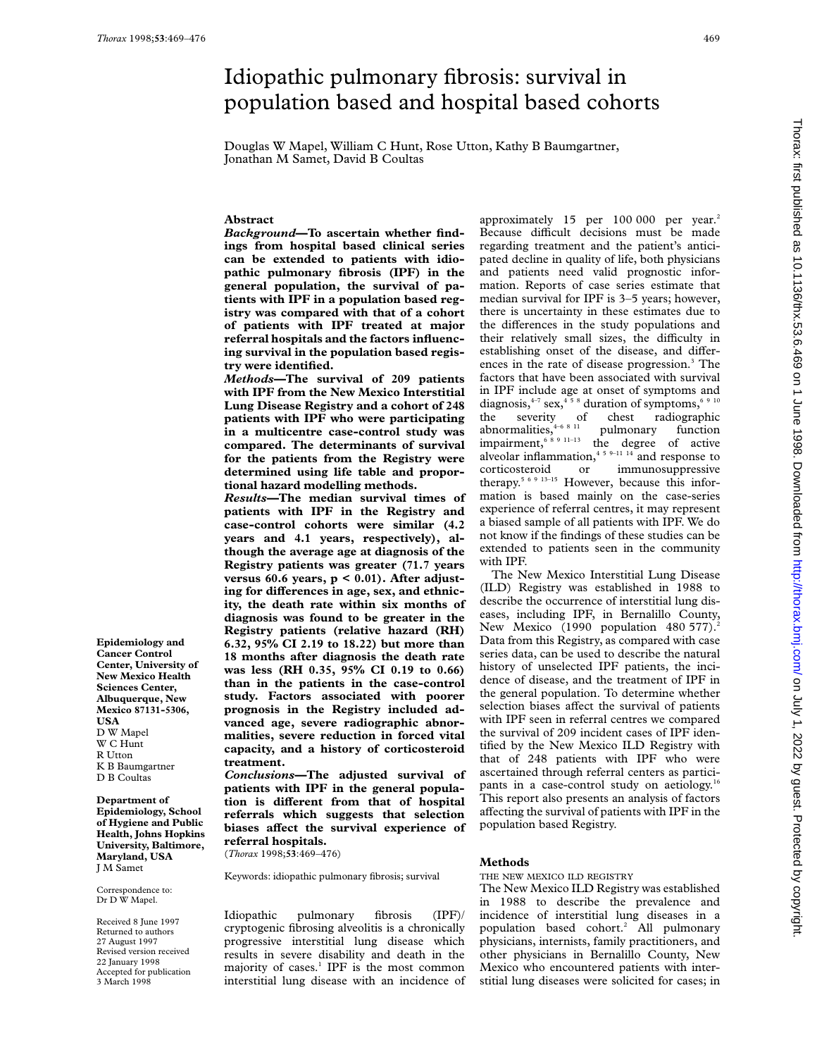**Epidemiology and Cancer Control Center, University of New Mexico Health Sciences Center, Albuquerque, New Mexico 87131-5306,**

**USA** D W Mapel W C Hunt R Utton K B Baumgartner D B Coultas **Department of Epidemiology, School of Hygiene and Public Health, Johns Hopkins University, Baltimore, Maryland, USA** J M Samet Correspondence to: Dr D W Mapel. Received 8 June 1997 Returned to authors 27 August 1997 Revised version received 22 January 1998 Accepted for publication 3 March 1998

# Idiopathic pulmonary fibrosis: survival in population based and hospital based cohorts

Douglas W Mapel, William C Hunt, Rose Utton, Kathy B Baumgartner, Jonathan M Samet, David B Coultas

# **Abstract**

*Background***—To ascertain whether findings from hospital based clinical series can be extended to patients with idiopathic pulmonary fibrosis (IPF) in the general population, the survival of patients with IPF in a population based registry was compared with that of a cohort of patients with IPF treated at major referral hospitals and the factors influencing survival in the population based registry were identified.**

*Methods—***The survival of 209 patients with IPF from the New Mexico Interstitial Lung Disease Registry and a cohort of 248 patients with IPF who were participating in a multicentre case-control study was compared. The determinants of survival for the patients from the Registry were determined using life table and proportional hazard modelling methods.**

*Results—***The median survival times of patients with IPF in the Registry and case-control cohorts were similar (4.2 years and 4.1 years, respectively), although the average age at diagnosis of the Registry patients was greater (71.7 years versus 60.6 years, p < 0.01). After adjust**ing for differences in age, sex, and ethnic**ity, the death rate within six months of diagnosis was found to be greater in the Registry patients (relative hazard (RH) 6.32, 95% CI 2.19 to 18.22) but more than 18 months after diagnosis the death rate was less (RH 0.35, 95% CI 0.19 to 0.66) than in the patients in the case-control study. Factors associated with poorer prognosis in the Registry included advanced age, severe radiographic abnormalities, severe reduction in forced vital capacity, and a history of corticosteroid treatment.**

*Conclusions—***The adjusted survival of patients with IPF in the general population is diVerent from that of hospital referrals which suggests that selection** biases affect the survival experience of **referral hospitals.**

(*Thorax* 1998;**53**:469–476)

Keywords: idiopathic pulmonary fibrosis; survival

Idiopathic pulmonary fibrosis (IPF)/ cryptogenic fibrosing alveolitis is a chronically progressive interstitial lung disease which results in severe disability and death in the majority of cases.<sup>1</sup> IPF is the most common interstitial lung disease with an incidence of approximately 15 per 100 000 per year.<sup>2</sup> Because difficult decisions must be made regarding treatment and the patient's anticipated decline in quality of life, both physicians and patients need valid prognostic information. Reports of case series estimate that median survival for IPF is 3–5 years; however, there is uncertainty in these estimates due to the differences in the study populations and their relatively small sizes, the difficulty in establishing onset of the disease, and differences in the rate of disease progression.3 The factors that have been associated with survival in IPF include age at onset of symptoms and diagnosis,  $4-7$  sex,  $4-5$   $8$  duration of symptoms,  $6-9$   $10$ the severity of chest radiographic abnormalities, $4-6$   $8$   $11$  pulmonary function impairment,  $68911-13$  the degree of active alveolar inflammation,<sup>459–11</sup> <sup>14</sup> and response to corticosteroid or immunosuppressive therapy.<sup>5 6 9 13-15</sup> However, because this information is based mainly on the case-series experience of referral centres, it may represent a biased sample of all patients with IPF. We do not know if the findings of these studies can be extended to patients seen in the community with IPF.

The New Mexico Interstitial Lung Disease (ILD) Registry was established in 1988 to describe the occurrence of interstitial lung diseases, including IPF, in Bernalillo County, New Mexico (1990 population 480 577).<sup>2</sup> Data from this Registry, as compared with case series data, can be used to describe the natural history of unselected IPF patients, the incidence of disease, and the treatment of IPF in the general population. To determine whether selection biases affect the survival of patients with IPF seen in referral centres we compared the survival of 209 incident cases of IPF identified by the New Mexico ILD Registry with that of 248 patients with IPF who were ascertained through referral centers as participants in a case-control study on aetiology.<sup>16</sup> This report also presents an analysis of factors affecting the survival of patients with IPF in the population based Registry.

# **Methods**

#### THE NEW MEXICO ILD REGISTRY

The New Mexico ILD Registry was established in 1988 to describe the prevalence and incidence of interstitial lung diseases in a population based cohort.<sup>2</sup> All pulmonary physicians, internists, family practitioners, and other physicians in Bernalillo County, New Mexico who encountered patients with interstitial lung diseases were solicited for cases; in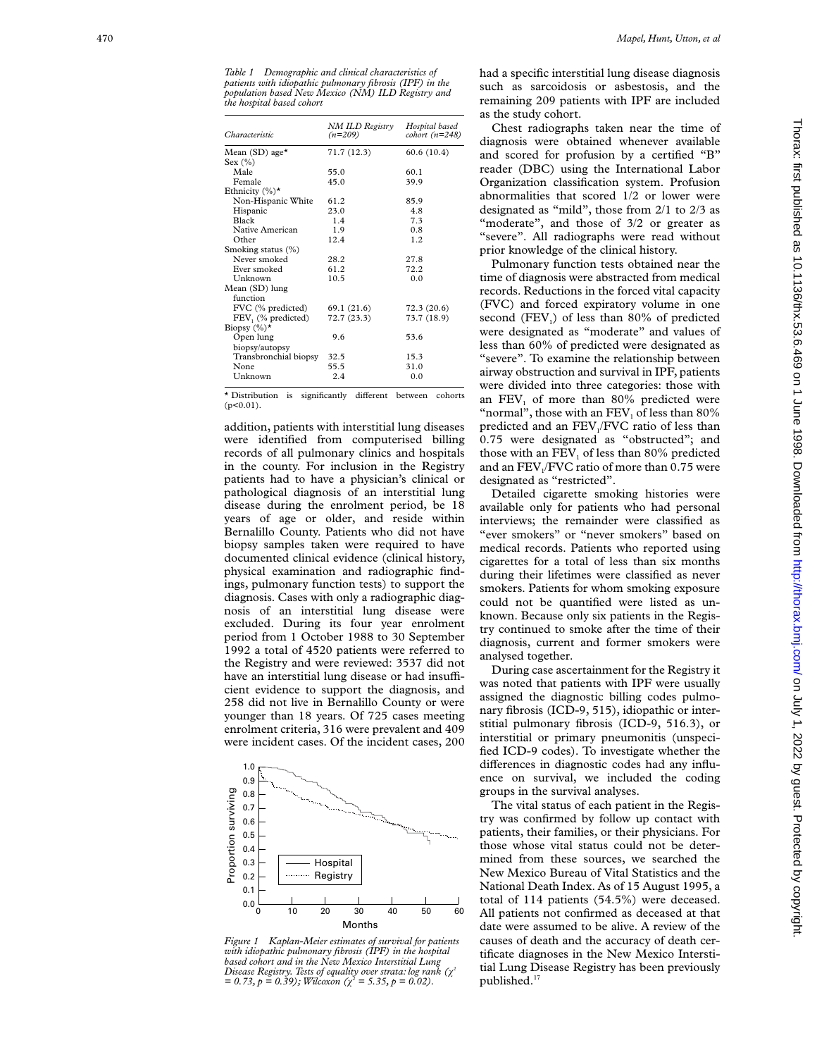*Table 1 Demographic and clinical characteristics of patients with idiopathic pulmonary fibrosis (IPF) in the population based New Mexico (NM) ILD Registry and the hospital based cohort*

| Characteristic                              | NM ILD Registry<br>$(n=209)$ | Hospital based<br>$\text{cohort}$ (n=248) |
|---------------------------------------------|------------------------------|-------------------------------------------|
| Mean (SD) age <sup><math>\star</math></sup> | 71.7 (12.3)                  | 60.6 (10.4)                               |
| Sex $(\% )$                                 |                              |                                           |
| Male                                        | 55.0                         | 60.1                                      |
| Female                                      | 45.0                         | 39.9                                      |
| Ethnicity $(\%)^{\star}$                    |                              |                                           |
| Non-Hispanic White                          | 61.2                         | 85.9                                      |
| Hispanic                                    | 23.0                         | 4.8                                       |
| Black                                       | 1.4                          | 7.3                                       |
| Native American                             | 1.9                          | 0.8                                       |
| Other                                       | 12.4                         | 1.2                                       |
| Smoking status (%)                          |                              |                                           |
| Never smoked                                | 28.2                         | 27.8                                      |
| Ever smoked                                 | 61.2                         | 72.2                                      |
| Unknown                                     | 10.5                         | 0.0                                       |
| Mean (SD) lung                              |                              |                                           |
| function                                    |                              |                                           |
| FVC (% predicted)                           | 69.1 (21.6)                  | 72.3(20.6)                                |
| FEV <sub>1</sub> (% predicted)              | 72.7 (23.3)                  | 73.7 (18.9)                               |
| Biopsy $(\%)^*$                             |                              |                                           |
| Open lung                                   | 9.6                          | 53.6                                      |
| biopsy/autopsy                              |                              |                                           |
| Transbronchial biopsy                       | 32.5                         | 15.3                                      |
| None                                        | 55.5                         | 31.0                                      |
| Unknown                                     | 2.4                          | 0.0                                       |

\* Distribution is significantly different between cohorts  $(p<0.01)$ .

addition, patients with interstitial lung diseases were identified from computerised billing records of all pulmonary clinics and hospitals in the county. For inclusion in the Registry patients had to have a physician's clinical or pathological diagnosis of an interstitial lung disease during the enrolment period, be 18 years of age or older, and reside within Bernalillo County. Patients who did not have biopsy samples taken were required to have documented clinical evidence (clinical history, physical examination and radiographic findings, pulmonary function tests) to support the diagnosis. Cases with only a radiographic diagnosis of an interstitial lung disease were excluded. During its four year enrolment period from 1 October 1988 to 30 September 1992 a total of 4520 patients were referred to the Registry and were reviewed: 3537 did not have an interstitial lung disease or had insufficient evidence to support the diagnosis, and 258 did not live in Bernalillo County or were younger than 18 years. Of 725 cases meeting enrolment criteria, 316 were prevalent and 409 were incident cases. Of the incident cases, 200



*Figure 1 Kaplan-Meier estimates of survival for patients with idiopathic pulmonary fibrosis (IPF) in the hospital based cohort and in the New Mexico Interstitial Lung Disease Registry. Tests of equality over strata: log rank (÷ 2*  $= 0.73, p = 0.39$ ; *Wilcoxon* ( $\chi^2 = 5.35, p = 0.02$ ).

had a specific interstitial lung disease diagnosis such as sarcoidosis or asbestosis, and the remaining 209 patients with IPF are included as the study cohort.

Chest radiographs taken near the time of diagnosis were obtained whenever available and scored for profusion by a certified "B" reader (DBC) using the International Labor Organization classification system. Profusion abnormalities that scored 1/2 or lower were designated as "mild", those from 2/1 to 2/3 as "moderate", and those of  $3/2$  or greater as "severe". All radiographs were read without prior knowledge of the clinical history.

Pulmonary function tests obtained near the time of diagnosis were abstracted from medical records. Reductions in the forced vital capacity (FVC) and forced expiratory volume in one second (FEV 1) of less than 80% of predicted were designated as "moderate" and values of less than 60% of predicted were designated as "severe". To examine the relationship between airway obstruction and survival in IPF, patients were divided into three categories: those with an FEV <sup>1</sup> of more than 80% predicted were "normal", those with an  $\text{FEV}_1$  of less than  $80\%$ predicted and an FEV 1/FVC ratio of less than 0.75 were designated as "obstructed"; and those with an FEV <sup>1</sup> of less than 80% predicted and an FEV 1/FVC ratio of more than 0.75 were designated as "restricted".

Detailed cigarette smoking histories were available only for patients who had personal interviews; the remainder were classified as "ever smokers" or "never smokers" based on medical records. Patients who reported using cigarettes for a total of less than six months during their lifetimes were classified as never smokers. Patients for whom smoking exposure could not be quantified were listed as unknown. Because only six patients in the Registry continued to smoke after the time of their diagnosis, current and former smokers were analysed together.

During case ascertainment for the Registry it was noted that patients with IPF were usually assigned the diagnostic billing codes pulmonary fibrosis (ICD-9, 515), idiopathic or interstitial pulmonary fibrosis (ICD-9, 516.3), or interstitial or primary pneumonitis (unspecified ICD-9 codes). To investigate whether the differences in diagnostic codes had any influence on survival, we included the coding groups in the survival analyses.

The vital status of each patient in the Registry was confirmed by follow up contact with patients, their families, or their physicians. For those whose vital status could not be determined from these sources, we searched the New Mexico Bureau of Vital Statistics and the National Death Index. As of 15 August 1995, a total of 114 patients (54.5%) were deceased. All patients not confirmed as deceased at that date were assumed to be alive. A review of the causes of death and the accuracy of death certificate diagnoses in the New Mexico Interstitial Lung Disease Registry has been previously published.<sup>17</sup>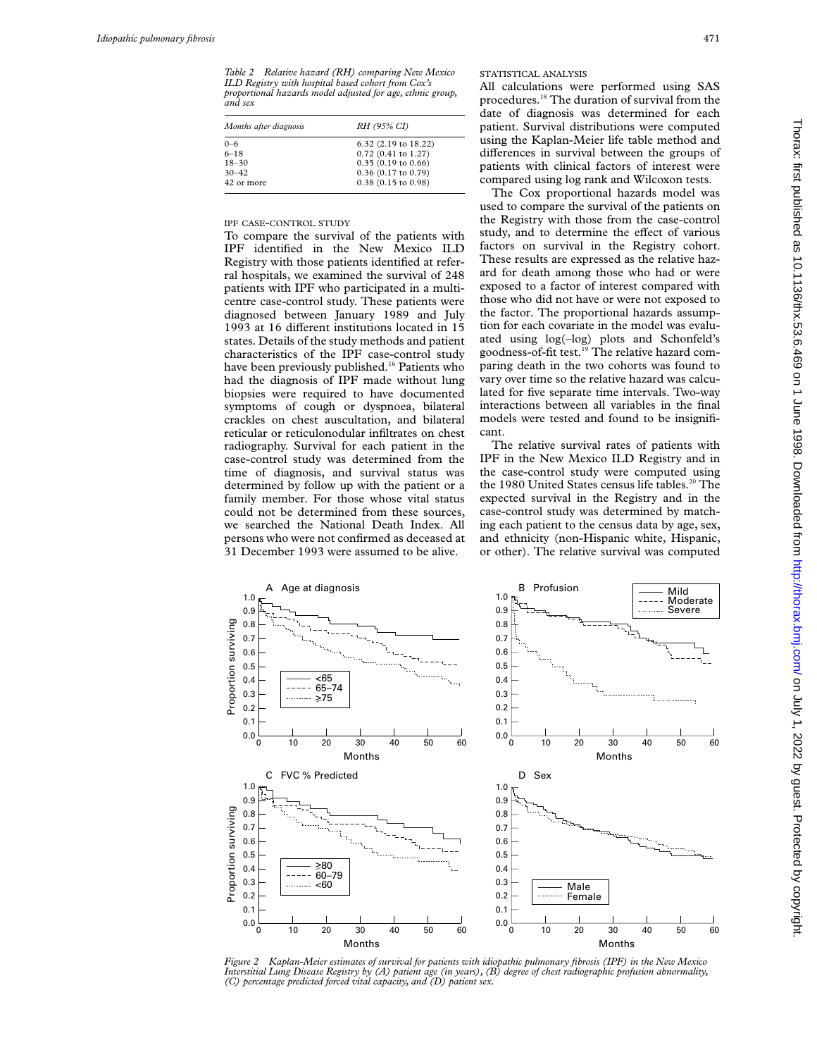*Table 2 Relative hazard (RH) comparing New Mexico ILD Registry with hospital based cohort from Cox's proportional hazards model adjusted for age, ethnic group, and sex*

| Months after diagnosis | RH (95% CI)            |
|------------------------|------------------------|
| $0 - 6$                | $6.32$ (2.19 to 18.22) |
| $6 - 18$               | $0.72$ (0.41 to 1.27)  |
| $18 - 30$              | 0.35(0.19 to 0.66)     |
| $30 - 42$              | $0.36$ (0.17 to 0.79)  |
| 42 or more             | $0.38$ (0.15 to 0.98)  |

## IPF CASE-CONTROL STUDY

To compare the survival of the patients with IPF identified in the New Mexico ILD Registry with those patients identified at referral hospitals, we examined the survival of 248 patients with IPF who participated in a multicentre case-control study. These patients were diagnosed between January 1989 and July 1993 at 16 different institutions located in 15 states. Details of the study methods and patient characteristics of the IPF case-control study have been previously published.<sup>16</sup> Patients who had the diagnosis of IPF made without lung biopsies were required to have documented symptoms of cough or dyspnoea, bilateral crackles on chest auscultation, and bilateral reticular or reticulonodular infiltrates on chest radiography. Survival for each patient in the case-control study was determined from the time of diagnosis, and survival status was determined by follow up with the patient or a family member. For those whose vital status could not be determined from these sources, we searched the National Death Index. All persons who were not confirmed as deceased at 31 December 1993 were assumed to be alive.

# STATISTICAL ANALYSIS

All calculations were performed using SAS procedures.18 The duration of survival from the date of diagnosis was determined for each patient. Survival distributions were computed using the Kaplan-Meier life table method and differences in survival between the groups of patients with clinical factors of interest were compared using log rank and Wilcoxon tests.

The Cox proportional hazards model was used to compare the survival of the patients on the Registry with those from the case-control study, and to determine the effect of various factors on survival in the Registry cohort. These results are expressed as the relative hazard for death among those who had or were exposed to a factor of interest compared with those who did not have or were not exposed to the factor. The proportional hazards assumption for each covariate in the model was evaluated using log(–log) plots and Schonfeld's goodness-of-fit test.<sup>19</sup> The relative hazard comparing death in the two cohorts was found to vary over time so the relative hazard was calculated for five separate time intervals. Two-way interactions between all variables in the final models were tested and found to be insignificant.

The relative survival rates of patients with IPF in the New Mexico ILD Registry and in the case-control study were computed using the 1980 United States census life tables.<sup>20</sup> The expected survival in the Registry and in the case-control study was determined by matching each patient to the census data by age, sex, and ethnicity (non-Hispanic white, Hispanic, or other). The relative survival was computed



*Figure 2 Kaplan-Meier estimates of survival for patients with idiopathic pulmonary fibrosis (IPF) in the New Mexico Interstitial Lung Disease Registry by (A) patient age (in years), (B) degree of chest radiographic profusion abnormality, (C) percentage predicted forced vital capacity, and (D) patient sex.*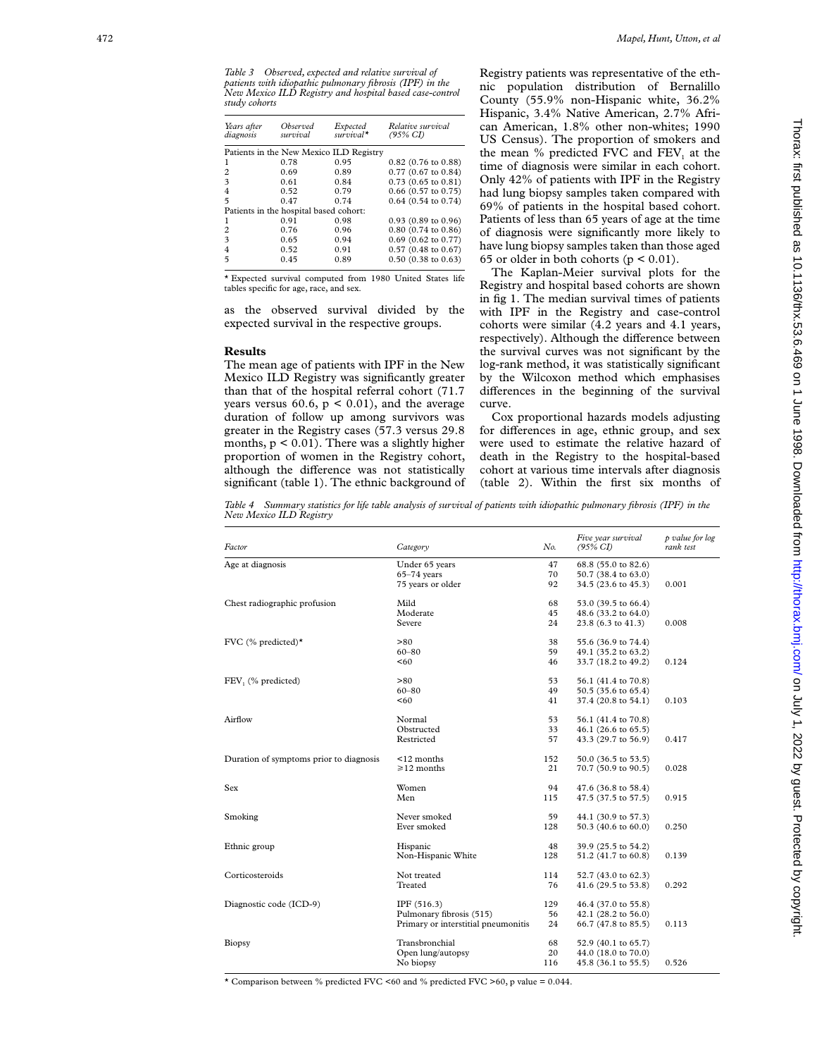| Years after<br>diagnosis | Observed<br>survival                   | Expected<br>$survival*$                 | Relative survival<br>$(95\% \text{ CI})$ |
|--------------------------|----------------------------------------|-----------------------------------------|------------------------------------------|
|                          |                                        | Patients in the New Mexico ILD Registry |                                          |
|                          | 0.78                                   | 0.95                                    | $0.82$ (0.76 to 0.88)                    |
| 2                        | 0.69                                   | 0.89                                    | $0.77(0.67)$ to $0.84$ )                 |
| 3                        | 0.61                                   | 0.84                                    | $0.73(0.65 \text{ to } 0.81)$            |
| $\overline{4}$           | 0.52                                   | 0.79                                    | $0.66$ (0.57 to 0.75)                    |
| 5                        | 0.47                                   | 0.74                                    | $0.64$ (0.54 to 0.74)                    |
|                          | Patients in the hospital based cohort: |                                         |                                          |
| 1                        | 0.91                                   | 0.98                                    | $0.93(0.89)$ to $0.96$                   |
| $\overline{c}$           | 0.76                                   | 0.96                                    | $0.80(0.74)$ to $0.86$ )                 |
| 3                        | 0.65                                   | 0.94                                    | $0.69$ (0.62 to 0.77)                    |
| 4                        | 0.52                                   | 0.91                                    | $0.57(0.48 \text{ to } 0.67)$            |
| 5                        | 0.45                                   | 0.89                                    | $0.50(0.38 \text{ to } 0.63)$            |

\* Expected survival computed from 1980 United States life tables specific for age, race, and sex.

as the observed survival divided by the expected survival in the respective groups.

#### **Results**

The mean age of patients with IPF in the New Mexico ILD Registry was significantly greater than that of the hospital referral cohort (71.7 years versus 60.6,  $p < 0.01$ ), and the average duration of follow up among survivors was greater in the Registry cases (57.3 versus 29.8 months,  $p < 0.01$ ). There was a slightly higher proportion of women in the Registry cohort, although the difference was not statistically significant (table 1). The ethnic background of Registry patients was representative of the ethnic population distribution of Bernalillo County (55.9% non-Hispanic white, 36.2% Hispanic, 3.4% Native American, 2.7% African American, 1.8% other non-whites; 1990 US Census). The proportion of smokers and the mean  $%$  predicted FVC and  $FEV<sub>1</sub>$  at the time of diagnosis were similar in each cohort. Only 42% of patients with IPF in the Registry had lung biopsy samples taken compared with 69% of patients in the hospital based cohort. Patients of less than 65 years of age at the time of diagnosis were significantly more likely to have lung biopsy samples taken than those aged 65 or older in both cohorts ( $p < 0.01$ ).

The Kaplan-Meier survival plots for the Registry and hospital based cohorts are shown in fig 1. The median survival times of patients with IPF in the Registry and case-control cohorts were similar (4.2 years and 4.1 years, respectively). Although the difference between the survival curves was not significant by the log-rank method, it was statistically significant by the Wilcoxon method which emphasises differences in the beginning of the survival curve.

Cox proportional hazards models adjusting for differences in age, ethnic group, and sex were used to estimate the relative hazard of death in the Registry to the hospital-based cohort at various time intervals after diagnosis (table 2). Within the first six months of

*Table 4 Summary statistics for life table analysis of survival of patients with idiopathic pulmonary fibrosis (IPF) in the New Mexico ILD Registry*

| Factor                                  | Category                            | No. | Five year survival<br>$(95\% \text{ CI})$ | p value for log<br>rank test |
|-----------------------------------------|-------------------------------------|-----|-------------------------------------------|------------------------------|
| Age at diagnosis                        | Under 65 years                      | 47  | 68.8 (55.0 to 82.6)                       |                              |
|                                         | $65 - 74$ years                     | 70  | 50.7 (38.4 to 63.0)                       |                              |
|                                         | 75 years or older                   | 92  | 34.5 (23.6 to 45.3)                       | 0.001                        |
| Chest radiographic profusion            | Mild                                | 68  | 53.0 (39.5 to 66.4)                       |                              |
|                                         | Moderate                            | 45  | 48.6 (33.2 to 64.0)                       |                              |
|                                         | Severe                              | 24  | 23.8 (6.3 to 41.3)                        | 0.008                        |
| FVC (% predicted) $\star$               | > 80                                | 38  | 55.6 (36.9 to 74.4)                       |                              |
|                                         | $60 - 80$                           | 59  | 49.1 (35.2 to 63.2)                       |                              |
|                                         | < 60                                | 46  | 33.7 (18.2 to 49.2)                       | 0.124                        |
| FEV, (% predicted)                      | > 80                                | 53  | 56.1 (41.4 to 70.8)                       |                              |
|                                         | $60 - 80$                           | 49  | 50.5 (35.6 to 65.4)                       |                              |
|                                         | < 60                                | 41  | 37.4 (20.8 to 54.1)                       | 0.103                        |
| Airflow                                 | Normal                              | 53  | 56.1 (41.4 to 70.8)                       |                              |
|                                         | Obstructed                          | 33  | 46.1 (26.6 to 65.5)                       |                              |
|                                         | Restricted                          | 57  | 43.3 (29.7 to 56.9)                       | 0.417                        |
| Duration of symptoms prior to diagnosis | $12$ months                         | 152 | 50.0 (36.5 to 53.5)                       |                              |
|                                         | $\geq 12$ months                    | 21  | 70.7 (50.9 to 90.5)                       | 0.028                        |
| Sex                                     | Women                               | 94  | 47.6 (36.8 to 58.4)                       |                              |
|                                         | Men                                 | 115 | 47.5 (37.5 to 57.5)                       | 0.915                        |
| Smoking                                 | Never smoked                        | 59  | 44.1 (30.9 to 57.3)                       |                              |
|                                         | Ever smoked                         | 128 | 50.3 (40.6 to 60.0)                       | 0.250                        |
| Ethnic group                            | Hispanic                            | 48  | 39.9 (25.5 to 54.2)                       |                              |
|                                         | Non-Hispanic White                  | 128 | 51.2 (41.7 to 60.8)                       | 0.139                        |
| Corticosteroids                         | Not treated                         | 114 | 52.7 (43.0 to 62.3)                       |                              |
|                                         | Treated                             | 76  | 41.6 (29.5 to 53.8)                       | 0.292                        |
| Diagnostic code (ICD-9)                 | IPF (516.3)                         | 129 | 46.4 (37.0 to 55.8)                       |                              |
|                                         | Pulmonary fibrosis (515)            | 56  | 42.1 (28.2 to 56.0)                       |                              |
|                                         | Primary or interstitial pneumonitis | 24  | 66.7 (47.8 to 85.5)                       | 0.113                        |
| Biopsy                                  | Transbronchial                      | 68  | 52.9 (40.1 to 65.7)                       |                              |
|                                         | Open lung/autopsy                   | 20  | 44.0 (18.0 to 70.0)                       |                              |
|                                         | No biopsy                           | 116 | 45.8 (36.1 to 55.5)                       | 0.526                        |

 $\star$  Comparison between % predicted FVC <60 and % predicted FVC >60, p value = 0.044.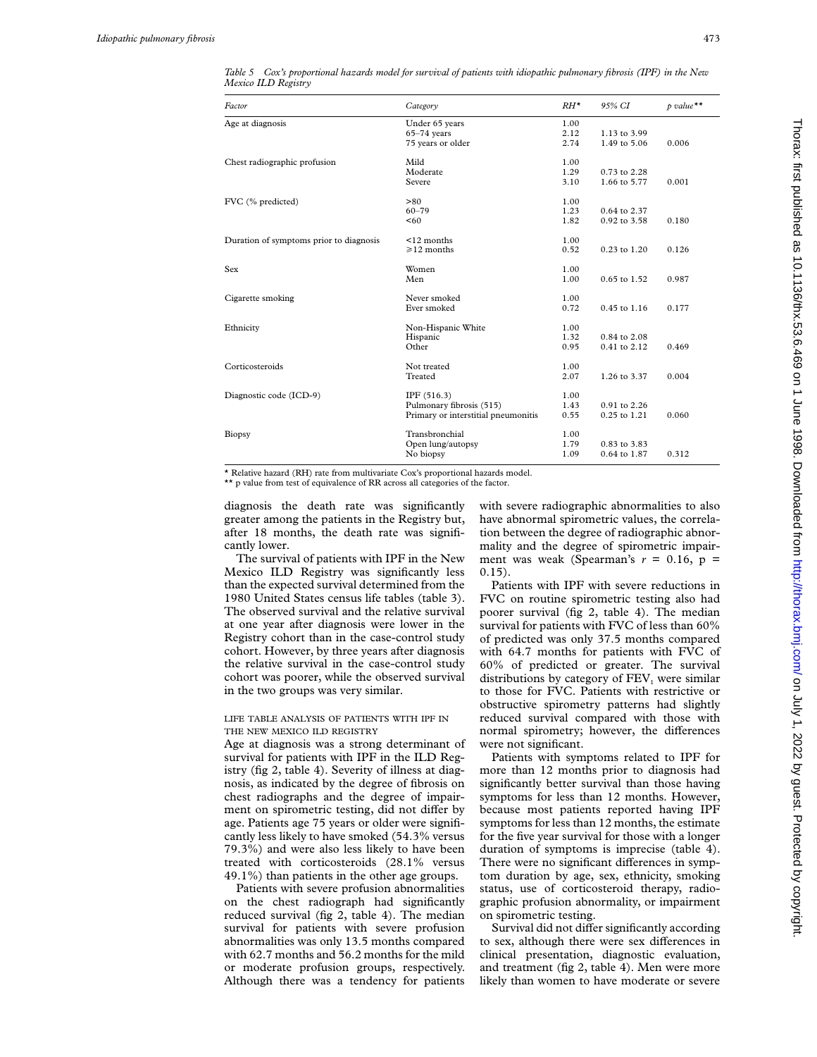| Factor                                  | Category                            | $RH^*$ | 95% CI           | $p$ value ** |
|-----------------------------------------|-------------------------------------|--------|------------------|--------------|
| Age at diagnosis                        | Under 65 years                      | 1.00   |                  |              |
|                                         | $65-74$ years                       | 2.12   | 1.13 to 3.99     |              |
|                                         | 75 years or older                   | 2.74   | 1.49 to 5.06     | 0.006        |
| Chest radiographic profusion            | Mild                                | 1.00   |                  |              |
|                                         | Moderate                            | 1.29   | 0.73 to 2.28     |              |
|                                         | Severe                              | 3.10   | 1.66 to 5.77     | 0.001        |
| FVC (% predicted)                       | > 80                                | 1.00   |                  |              |
|                                         | $60 - 79$                           | 1.23   | 0.64 to 2.37     |              |
|                                         | < 60                                | 1.82   | 0.92 to 3.58     | 0.180        |
| Duration of symptoms prior to diagnosis | $12$ months                         | 1.00   |                  |              |
|                                         | $\geq 12$ months                    | 0.52   | 0.23 to 1.20     | 0.126        |
| Sex                                     | Women                               | 1.00   |                  |              |
|                                         | Men                                 | 1.00   | 0.65 to 1.52     | 0.987        |
| Cigarette smoking                       | Never smoked                        | 1.00   |                  |              |
|                                         | Ever smoked                         | 0.72   | $0.45$ to $1.16$ | 0.177        |
| Ethnicity                               | Non-Hispanic White                  | 1.00   |                  |              |
|                                         | Hispanic                            | 1.32   | $0.84$ to $2.08$ |              |
|                                         | Other                               | 0.95   | 0.41 to 2.12     | 0.469        |
| Corticosteroids                         | Not treated                         | 1.00   |                  |              |
|                                         | Treated                             | 2.07   | 1.26 to 3.37     | 0.004        |
| Diagnostic code (ICD-9)                 | IPF(516.3)                          | 1.00   |                  |              |
|                                         | Pulmonary fibrosis (515)            | 1.43   | $0.91$ to $2.26$ |              |
|                                         | Primary or interstitial pneumonitis | 0.55   | 0.25 to 1.21     | 0.060        |
| Biopsy                                  | Transbronchial                      | 1.00   |                  |              |
|                                         | Open lung/autopsy                   | 1.79   | 0.83 to 3.83     |              |
|                                         | No biopsy                           | 1.09   | 0.64 to 1.87     | 0.312        |

*Table 5 Cox's proportional hazards model for survival of patients with idiopathic pulmonary fibrosis (IPF) in the New Mexico ILD Registry*

\* Relative hazard (RH) rate from multivariate Cox's proportional hazards model.

\*\* p value from test of equivalence of RR across all categories of the factor.

diagnosis the death rate was significantly greater among the patients in the Registry but, after 18 months, the death rate was significantly lower.

The survival of patients with IPF in the New Mexico ILD Registry was significantly less than the expected survival determined from the 1980 United States census life tables (table 3). The observed survival and the relative survival at one year after diagnosis were lower in the Registry cohort than in the case-control study cohort. However, by three years after diagnosis the relative survival in the case-control study cohort was poorer, while the observed survival in the two groups was very similar.

# LIFE TABLE ANALYSIS OF PATIENTS WITH IPF IN THE NEW MEXICO ILD REGISTRY

Age at diagnosis was a strong determinant of survival for patients with IPF in the ILD Registry (fig 2, table 4). Severity of illness at diagnosis, as indicated by the degree of fibrosis on chest radiographs and the degree of impairment on spirometric testing, did not differ by age. Patients age 75 years or older were significantly less likely to have smoked (54.3% versus 79.3%) and were also less likely to have been treated with corticosteroids (28.1% versus 49.1%) than patients in the other age groups.

Patients with severe profusion abnormalities on the chest radiograph had significantly reduced survival (fig 2, table 4). The median survival for patients with severe profusion abnormalities was only 13.5 months compared with 62.7 months and 56.2 months for the mild or moderate profusion groups, respectively. Although there was a tendency for patients with severe radiographic abnormalities to also have abnormal spirometric values, the correlation between the degree of radiographic abnormality and the degree of spirometric impairment was weak (Spearman's  $r = 0.16$ ,  $p =$  $(0.15)$ .

Patients with IPF with severe reductions in FVC on routine spirometric testing also had poorer survival (fig 2, table 4). The median survival for patients with FVC of less than 60% of predicted was only 37.5 months compared with 64.7 months for patients with FVC of 60% of predicted or greater. The survival distributions by category of  $FEV<sub>1</sub>$  were similar to those for FVC. Patients with restrictive or obstructive spirometry patterns had slightly reduced survival compared with those with normal spirometry; however, the differences were not significant.

Patients with symptoms related to IPF for more than 12 months prior to diagnosis had significantly better survival than those having symptoms for less than 12 months. However, because most patients reported having IPF symptoms for less than 12 months, the estimate for the five year survival for those with a longer duration of symptoms is imprecise (table 4). There were no significant differences in symptom duration by age, sex, ethnicity, smoking status, use of corticosteroid therapy, radiographic profusion abnormality, or impairment on spirometric testing.

Survival did not differ significantly according to sex, although there were sex differences in clinical presentation, diagnostic evaluation, and treatment (fig 2, table 4). Men were more likely than women to have moderate or severe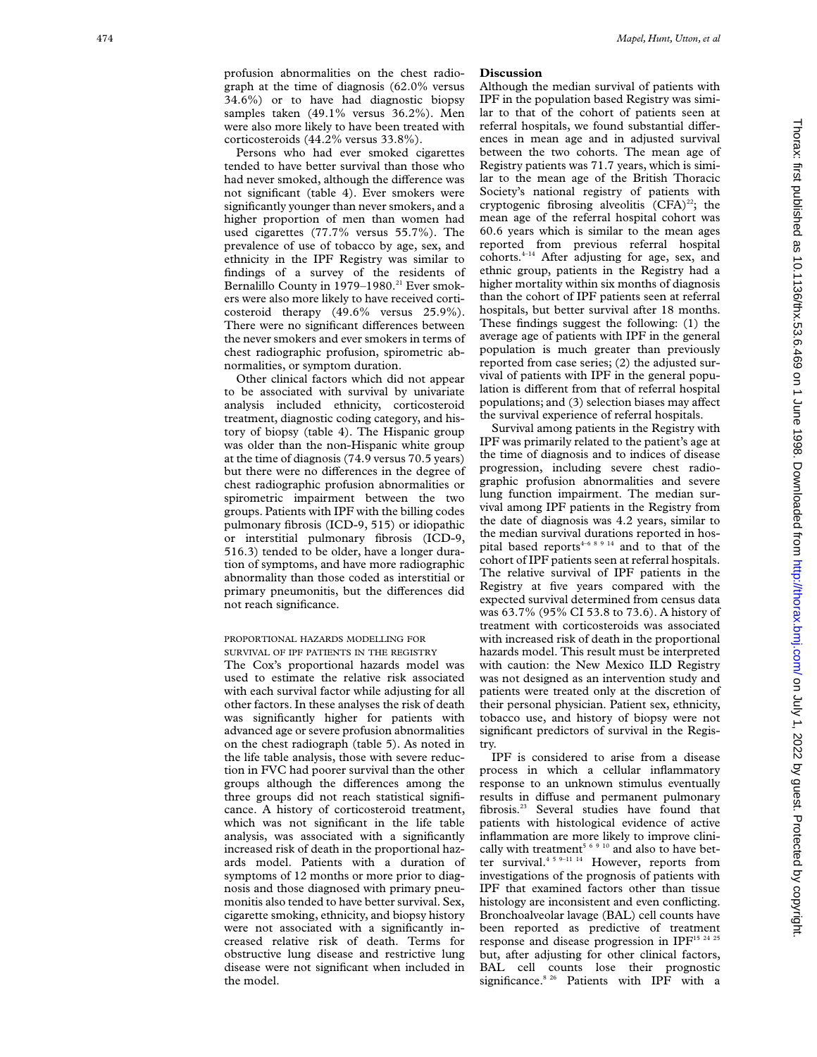graph at the time of diagnosis (62.0% versus 34.6%) or to have had diagnostic biopsy samples taken (49.1% versus 36.2%). Men were also more likely to have been treated with corticosteroids (44.2% versus 33.8%).

Persons who had ever smoked cigarettes tended to have better survival than those who had never smoked, although the difference was not significant (table 4). Ever smokers were significantly younger than never smokers, and a higher proportion of men than women had used cigarettes (77.7% versus 55.7%). The prevalence of use of tobacco by age, sex, and ethnicity in the IPF Registry was similar to findings of a survey of the residents of Bernalillo County in 1979–1980.<sup>21</sup> Ever smokers were also more likely to have received corticosteroid therapy (49.6% versus 25.9%). There were no significant differences between the never smokers and ever smokers in terms of chest radiographic profusion, spirometric abnormalities, or symptom duration.

Other clinical factors which did not appear to be associated with survival by univariate analysis included ethnicity, corticosteroid treatment, diagnostic coding category, and history of biopsy (table 4). The Hispanic group was older than the non-Hispanic white group at the time of diagnosis (74.9 versus 70.5 years) but there were no differences in the degree of chest radiographic profusion abnormalities or spirometric impairment between the two groups. Patients with IPF with the billing codes pulmonary fibrosis (ICD-9, 515) or idiopathic or interstitial pulmonary fibrosis (ICD-9, 516.3) tended to be older, have a longer duration of symptoms, and have more radiographic abnormality than those coded as interstitial or primary pneumonitis, but the differences did not reach significance.

## PROPORTIONAL HAZARDS MODELLING FOR SURVIVAL OF IPF PATIENTS IN THE REGISTRY

The Cox's proportional hazards model was used to estimate the relative risk associated with each survival factor while adjusting for all other factors. In these analyses the risk of death was significantly higher for patients with advanced age or severe profusion abnormalities on the chest radiograph (table 5). As noted in the life table analysis, those with severe reduction in FVC had poorer survival than the other groups although the differences among the three groups did not reach statistical significance. A history of corticosteroid treatment, which was not significant in the life table analysis, was associated with a significantly increased risk of death in the proportional hazards model. Patients with a duration of symptoms of 12 months or more prior to diagnosis and those diagnosed with primary pneumonitis also tended to have better survival. Sex, cigarette smoking, ethnicity, and biopsy history were not associated with a significantly increased relative risk of death. Terms for obstructive lung disease and restrictive lung disease were not significant when included in the model.

# **Discussion**

Although the median survival of patients with IPF in the population based Registry was similar to that of the cohort of patients seen at referral hospitals, we found substantial differences in mean age and in adjusted survival between the two cohorts. The mean age of Registry patients was 71.7 years, which is similar to the mean age of the British Thoracic Society's national registry of patients with cryptogenic fibrosing alveolitis  $(CFA)^{22}$ ; the mean age of the referral hospital cohort was 60.6 years which is similar to the mean ages reported from previous referral hospital  $cohorts.<sup>4-14</sup>$  After adjusting for age, sex, and ethnic group, patients in the Registry had a higher mortality within six months of diagnosis than the cohort of IPF patients seen at referral hospitals, but better survival after 18 months. These findings suggest the following: (1) the average age of patients with IPF in the general population is much greater than previously reported from case series; (2) the adjusted survival of patients with IPF in the general population is different from that of referral hospital populations; and (3) selection biases may affect the survival experience of referral hospitals.

Survival among patients in the Registry with IPF was primarily related to the patient's age at the time of diagnosis and to indices of disease progression, including severe chest radiographic profusion abnormalities and severe lung function impairment. The median survival among IPF patients in the Registry from the date of diagnosis was 4.2 years, similar to the median survival durations reported in hospital based reports<sup>4-6 8 9 14</sup> and to that of the cohort of IPF patients seen at referral hospitals. The relative survival of IPF patients in the Registry at five years compared with the expected survival determined from census data was 63.7% (95% CI 53.8 to 73.6). A history of treatment with corticosteroids was associated with increased risk of death in the proportional hazards model. This result must be interpreted with caution: the New Mexico ILD Registry was not designed as an intervention study and patients were treated only at the discretion of their personal physician. Patient sex, ethnicity, tobacco use, and history of biopsy were not significant predictors of survival in the Registry.

IPF is considered to arise from a disease process in which a cellular inflammatory response to an unknown stimulus eventually results in diffuse and permanent pulmonary fibrosis.23 Several studies have found that patients with histological evidence of active inflammation are more likely to improve clinically with treatment<sup>5 6 9 10</sup> and also to have better survival.<sup>45 9–11-14</sup> However, reports from investigations of the prognosis of patients with IPF that examined factors other than tissue histology are inconsistent and even conflicting. Bronchoalveolar lavage (BAL) cell counts have been reported as predictive of treatment response and disease progression in IPF<sup>15 24 25</sup> but, after adjusting for other clinical factors, BAL cell counts lose their prognostic significance.<sup>8 26</sup> Patients with IPF with a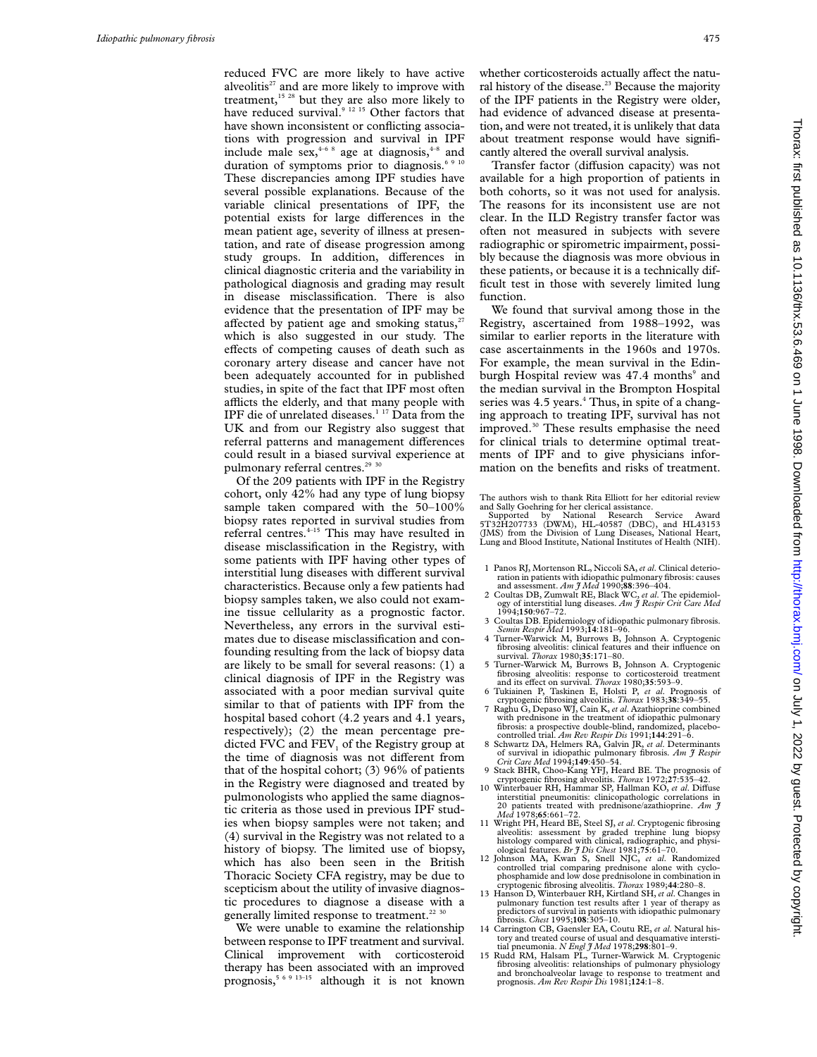reduced FVC are more likely to have active alveolitis<sup>27</sup> and are more likely to improve with treatment,<sup>15 28</sup> but they are also more likely to have reduced survival.<sup>9 12 15</sup> Other factors that have shown inconsistent or conflicting associations with progression and survival in IPF include male  $sex<sub>4</sub><sup>4-6-8</sup>$  age at diagnosis,<sup>4-8</sup> and duration of symptoms prior to diagnosis.<sup>6,9</sup> These discrepancies among IPF studies have several possible explanations. Because of the variable clinical presentations of IPF, the potential exists for large differences in the mean patient age, severity of illness at presentation, and rate of disease progression among study groups. In addition, differences in clinical diagnostic criteria and the variability in pathological diagnosis and grading may result in disease misclassification. There is also evidence that the presentation of IPF may be affected by patient age and smoking status, $2<sup>7</sup>$ which is also suggested in our study. The effects of competing causes of death such as coronary artery disease and cancer have not been adequately accounted for in published studies, in spite of the fact that IPF most often afflicts the elderly, and that many people with IPF die of unrelated diseases.<sup>1 17</sup> Data from the UK and from our Registry also suggest that referral patterns and management differences could result in a biased survival experience at pulmonary referral centres.<sup>29</sup> 30

Of the 209 patients with IPF in the Registry cohort, only 42% had any type of lung biopsy sample taken compared with the 50–100% biopsy rates reported in survival studies from referral centres.<sup>4-15</sup> This may have resulted in disease misclassification in the Registry, with some patients with IPF having other types of interstitial lung diseases with different survival characteristics. Because only a few patients had biopsy samples taken, we also could not examine tissue cellularity as a prognostic factor. Nevertheless, any errors in the survival estimates due to disease misclassification and confounding resulting from the lack of biopsy data are likely to be small for several reasons: (1) a clinical diagnosis of IPF in the Registry was associated with a poor median survival quite similar to that of patients with IPF from the hospital based cohort (4.2 years and 4.1 years, respectively); (2) the mean percentage predicted FVC and FEV, of the Registry group at the time of diagnosis was not different from that of the hospital cohort; (3) 96% of patients in the Registry were diagnosed and treated by pulmonologists who applied the same diagnostic criteria as those used in previous IPF studies when biopsy samples were not taken; and (4) survival in the Registry was not related to a history of biopsy. The limited use of biopsy, which has also been seen in the British Thoracic Society CFA registry, may be due to scepticism about the utility of invasive diagnostic procedures to diagnose a disease with a generally limited response to treatment.<sup>22 30</sup>

We were unable to examine the relationship between response to IPF treatment and survival. Clinical improvement with corticosteroid therapy has been associated with an improved prognosis,5 6 9 13–15 although it is not known whether corticosteroids actually affect the natural history of the disease.<sup>23</sup> Because the majority of the IPF patients in the Registry were older, had evidence of advanced disease at presentation, and were not treated, it is unlikely that data about treatment response would have significantly altered the overall survival analysis.

Transfer factor (diffusion capacity) was not available for a high proportion of patients in both cohorts, so it was not used for analysis. The reasons for its inconsistent use are not clear. In the ILD Registry transfer factor was often not measured in subjects with severe radiographic or spirometric impairment, possibly because the diagnosis was more obvious in these patients, or because it is a technically difficult test in those with severely limited lung function.

We found that survival among those in the Registry, ascertained from 1988–1992, was similar to earlier reports in the literature with case ascertainments in the 1960s and 1970s. For example, the mean survival in the Edinburgh Hospital review was 47.4 months<sup>9</sup> and the median survival in the Brompton Hospital series was 4.5 years.<sup>4</sup> Thus, in spite of a changing approach to treating IPF, survival has not improved.<sup>30</sup> These results emphasise the need for clinical trials to determine optimal treatments of IPF and to give physicians information on the benefits and risks of treatment.

Supported by National Research Service Award 5T32H207733 (DWM), HL-40587 (DBC), and HL43153 (JMS) from the Division of Lung Diseases, National Heart, Lung and Blood Institute, National Institutes of Health (NIH).

- 1 Panos RJ, Mortenson RL, Niccoli SA,*et al*. Clinical deterioration in patients with idiopathic pulmonary fibrosis: causes<br>and assessment. Am  $\hat{\jmath}$  Med 1990;88:396-404.
- 2 Coultas DB, Zumwalt RE, Black WC, *et al.* The epidemiology of interstitial lung diseases. *Am J Respir Crit Care Med*
- 1994;**150**:967–72. 3 Coultas DB. Epidemiology of idiopathic pulmonary fibrosis. *Semin Respir Med* 1993;**14**:181–96.
- 4 Turner-Warwick M, Burrows B, Johnson A. Cryptogenic fibrosing alveolitis: clinical features and their influence on survival. *Thorax* 1980;**35**:171–80.
- 5 Turner-Warwick M, Burrows B, Johnson A. Cryptogenic fibrosing alveolitis: response to corticosteroid treatment and its effect on survival. *Thorax* 1980;35:593-9.
- 6 Tukiainen P, Taskinen E, Holsti P, *et al*. Prognosis of cryptogenic fibrosing alveolitis. *Thorax* 1983;**38**:349–55. 7 Raghu G, Depaso WJ, Cain K, *et al*. Azathioprine combined
- with prednisone in the treatment of idiopathic pulmonary fibrosis: a prospective double-blind, randomized, placebo-
- controlled trial. *Am Rev Respir Dis* 1991;**144**:291–6. 8 Schwartz DA, Helmers RA, Galvin JR, *et al*. Determinants of survival in idiopathic pulmonary fibrosis. *Am J Respir Crit Care Med* 1994;**149**:450–54.
- 9 Stack BHR, Choo-Kang YFJ, Heard BE. The prognosis of
- cryptogenic fibrosing alveolitis. *Thorax* 1972;27:535-42.<br>10 Winterbauer RH, Hammar SP, Hallman KO, *et al*. Diffuse interstitial pneumonitis: clinicopathologic correlations in 20 patients treated with prednisone/azathioprine. *Am J Med* 1978;**65**:661–72.
- 11 Wright PH, Heard BE, Steel SJ, *et al*. Cryptogenic fibrosing alveolitis: assessment by graded trephine histology compared with clinical, radiographic, and physi-ological features. *Br J Dis Chest* 1981;**75**:61–70.
- 12 Johnson MA, Kwan S, Snell NJC, *et al*. Randomized controlled trial comparing prednisone alone with cyclo-phosphamide and low dose prednisolone in combination in cryptogenic fibrosing alveolitis. *Thorax* 1989;**44**:280–8.
- 13 Hanson D, Winterbauer RH, Kirtland SH, *et al*. Changes in pulmonary function test results after 1 year of therapy as predictors of survival in patients with idiopathic pulmonary fibrosis. *Chest* 1995;**108**:305–10.
- 14 Carrington CB, Gaensler EA, Coutu RE, *et al*. Natural history and treated course of usual and desquamative intersti-
- tial pneumonia. *N Engl J Med* 1978;298:801-9.<br>15 Rudd RM, Halsam PL, Turner-Warwick M. Cryptogenic<br>fibrosing alveolitis: relationships of pulmonary physiology and bronchoalveolar lavage to response to treatment and prognosis. *Am Rev Respir Dis* 1981;**124**:1–8.

The authors wish to thank Rita Elliott for her editorial review and Sally Goehring for her clerical assistance.<br>Supported by National Research Service